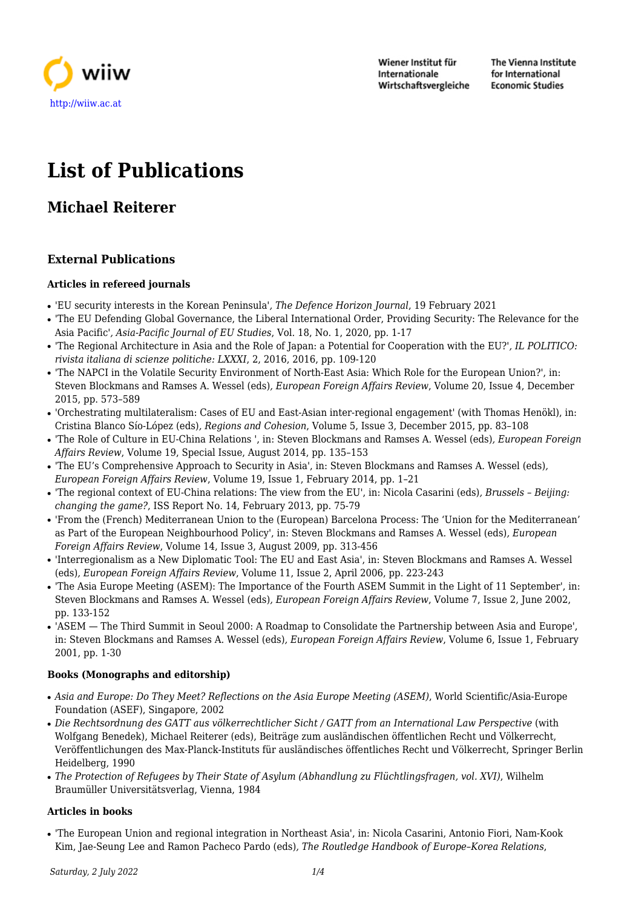

Wiener Institut für Internationale Wirtschaftsvergleiche The Vienna Institute for International **Economic Studies** 

# **List of Publications**

# **Michael Reiterer**

# **External Publications**

#### **Articles in refereed journals**

- 'EU security interests in the Korean Peninsula'*, The Defence Horizon Journal*, 19 February 2021
- 'The EU Defending Global Governance, the Liberal International Order, Providing Security: The Relevance for the Asia Pacific'*, Asia-Pacific Journal of EU Studies*, Vol. 18, No. 1, 2020, pp. 1-17
- 'The Regional Architecture in Asia and the Role of Japan: a Potential for Cooperation with the EU?'*, IL POLITICO: rivista italiana di scienze politiche: LXXXI*, 2, 2016, 2016, pp. 109-120
- 'The NAPCI in the Volatile Security Environment of North-East Asia: Which Role for the European Union?', in: Steven Blockmans and Ramses A. Wessel (eds)*, European Foreign Affairs Review*, Volume 20, Issue 4, December 2015, pp. 573–589
- 'Orchestrating multilateralism: Cases of EU and East-Asian inter-regional engagement' (with Thomas Henökl), in: Cristina Blanco Sío-López (eds)*, Regions and Cohesion*, Volume 5, Issue 3, December 2015, pp. 83–108
- 'The Role of Culture in EU-China Relations ', in: Steven Blockmans and Ramses A. Wessel (eds)*, European Foreign Affairs Review*, Volume 19, Special Issue, August 2014, pp. 135–153
- 'The EU's Comprehensive Approach to Security in Asia', in: Steven Blockmans and Ramses A. Wessel (eds)*, European Foreign Affairs Review*, Volume 19, Issue 1, February 2014, pp. 1–21
- 'The regional context of EU-China relations: The view from the EU', in: Nicola Casarini (eds)*, Brussels Beijing: changing the game?*, ISS Report No. 14, February 2013, pp. 75-79
- 'From the (French) Mediterranean Union to the (European) Barcelona Process: The 'Union for the Mediterranean' as Part of the European Neighbourhood Policy', in: Steven Blockmans and Ramses A. Wessel (eds)*, European Foreign Affairs Review*, Volume 14, Issue 3, August 2009, pp. 313-456
- 'Interregionalism as a New Diplomatic Tool: The EU and East Asia', in: Steven Blockmans and Ramses A. Wessel (eds)*, European Foreign Affairs Review*, Volume 11, Issue 2, April 2006, pp. 223-243
- 'The Asia Europe Meeting (ASEM): The Importance of the Fourth ASEM Summit in the Light of 11 September', in: Steven Blockmans and Ramses A. Wessel (eds)*, European Foreign Affairs Review*, Volume 7, Issue 2, June 2002, pp. 133-152
- 'ASEM The Third Summit in Seoul 2000: A Roadmap to Consolidate the Partnership between Asia and Europe', in: Steven Blockmans and Ramses A. Wessel (eds)*, European Foreign Affairs Review*, Volume 6, Issue 1, February 2001, pp. 1-30

### **Books (Monographs and editorship)**

- *Asia and Europe: Do They Meet? Reflections on the Asia Europe Meeting (ASEM)*, World Scientific/Asia-Europe Foundation (ASEF), Singapore, 2002
- *Die Rechtsordnung des GATT aus völkerrechtlicher Sicht / GATT from an International Law Perspective* (with Wolfgang Benedek), Michael Reiterer (eds), Beiträge zum ausländischen öffentlichen Recht und Völkerrecht, Veröffentlichungen des Max-Planck-Instituts für ausländisches öffentliches Recht und Völkerrecht, Springer Berlin Heidelberg, 1990
- *The Protection of Refugees by Their State of Asylum (Abhandlung zu Flüchtlingsfragen, vol. XVI)*, Wilhelm Braumüller Universitätsverlag, Vienna, 1984

#### **Articles in books**

● 'The European Union and regional integration in Northeast Asia', in: Nicola Casarini, Antonio Fiori, Nam-Kook Kim, Jae-Seung Lee and Ramon Pacheco Pardo (eds)*, The Routledge Handbook of Europe–Korea Relations*,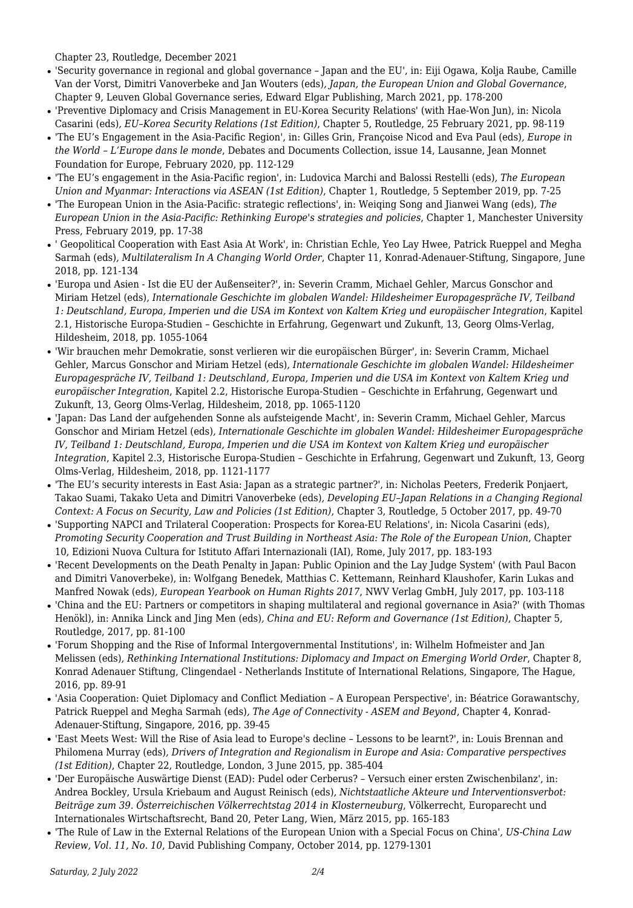Chapter 23, Routledge, December 2021

- 'Security governance in regional and global governance Japan and the EU', in: Eiji Ogawa, Kolja Raube, Camille Van der Vorst, Dimitri Vanoverbeke and Jan Wouters (eds)*, Japan, the European Union and Global Governance*, Chapter 9, Leuven Global Governance series, Edward Elgar Publishing, March 2021, pp. 178-200
- 'Preventive Diplomacy and Crisis Management in EU-Korea Security Relations' (with Hae-Won Jun), in: Nicola Casarini (eds)*, EU–Korea Security Relations (1st Edition)*, Chapter 5, Routledge, 25 February 2021, pp. 98-119
- 'The EU's Engagement in the Asia-Pacific Region', in: Gilles Grin, Françoise Nicod and Eva Paul (eds)*, Europe in the World – L'Europe dans le monde*, Debates and Documents Collection, issue 14, Lausanne, Jean Monnet Foundation for Europe, February 2020, pp. 112-129
- 'The EU's engagement in the Asia-Pacific region', in: Ludovica Marchi and Balossi Restelli (eds)*, The European Union and Myanmar: Interactions via ASEAN (1st Edition)*, Chapter 1, Routledge, 5 September 2019, pp. 7-25
- 'The European Union in the Asia-Pacific: strategic reflections', in: Weiqing Song and Jianwei Wang (eds)*, The European Union in the Asia-Pacific: Rethinking Europe's strategies and policies*, Chapter 1, Manchester University Press, February 2019, pp. 17-38
- ' Geopolitical Cooperation with East Asia At Work', in: Christian Echle, Yeo Lay Hwee, Patrick Rueppel and Megha Sarmah (eds)*, Multilateralism In A Changing World Order*, Chapter 11, Konrad-Adenauer-Stiftung, Singapore, June 2018, pp. 121-134
- 'Europa und Asien Ist die EU der Außenseiter?', in: Severin Cramm, Michael Gehler, Marcus Gonschor and Miriam Hetzel (eds)*, Internationale Geschichte im globalen Wandel: Hildesheimer Europagespräche IV, Teilband 1: Deutschland, Europa, Imperien und die USA im Kontext von Kaltem Krieg und europäischer Integration*, Kapitel 2.1, Historische Europa-Studien – Geschichte in Erfahrung, Gegenwart und Zukunft, 13, Georg Olms-Verlag, Hildesheim, 2018, pp. 1055-1064
- 'Wir brauchen mehr Demokratie, sonst verlieren wir die europäischen Bürger', in: Severin Cramm, Michael Gehler, Marcus Gonschor and Miriam Hetzel (eds)*, Internationale Geschichte im globalen Wandel: Hildesheimer Europagespräche IV, Teilband 1: Deutschland, Europa, Imperien und die USA im Kontext von Kaltem Krieg und europäischer Integration*, Kapitel 2.2, Historische Europa-Studien – Geschichte in Erfahrung, Gegenwart und Zukunft, 13, Georg Olms-Verlag, Hildesheim, 2018, pp. 1065-1120
- 'Japan: Das Land der aufgehenden Sonne als aufsteigende Macht', in: Severin Cramm, Michael Gehler, Marcus Gonschor and Miriam Hetzel (eds)*, Internationale Geschichte im globalen Wandel: Hildesheimer Europagespräche IV, Teilband 1: Deutschland, Europa, Imperien und die USA im Kontext von Kaltem Krieg und europäischer Integration*, Kapitel 2.3, Historische Europa-Studien – Geschichte in Erfahrung, Gegenwart und Zukunft, 13, Georg Olms-Verlag, Hildesheim, 2018, pp. 1121-1177
- 'The EU's security interests in East Asia: Japan as a strategic partner?', in: Nicholas Peeters, Frederik Ponjaert, Takao Suami, Takako Ueta and Dimitri Vanoverbeke (eds)*, Developing EU–Japan Relations in a Changing Regional Context: A Focus on Security, Law and Policies (1st Edition)*, Chapter 3, Routledge, 5 October 2017, pp. 49-70
- 'Supporting NAPCI and Trilateral Cooperation: Prospects for Korea-EU Relations', in: Nicola Casarini (eds)*, Promoting Security Cooperation and Trust Building in Northeast Asia: The Role of the European Union*, Chapter 10, Edizioni Nuova Cultura for Istituto Affari Internazionali (IAI), Rome, July 2017, pp. 183-193
- 'Recent Developments on the Death Penalty in Japan: Public Opinion and the Lay Judge System' (with Paul Bacon and Dimitri Vanoverbeke), in: Wolfgang Benedek, Matthias C. Kettemann, Reinhard Klaushofer, Karin Lukas and Manfred Nowak (eds)*, European Yearbook on Human Rights 2017*, NWV Verlag GmbH, July 2017, pp. 103-118
- 'China and the EU: Partners or competitors in shaping multilateral and regional governance in Asia?' (with Thomas Henökl), in: Annika Linck and Jing Men (eds)*, China and EU: Reform and Governance (1st Edition)*, Chapter 5, Routledge, 2017, pp. 81-100
- 'Forum Shopping and the Rise of Informal Intergovernmental Institutions', in: Wilhelm Hofmeister and Jan Melissen (eds)*, Rethinking International Institutions: Diplomacy and Impact on Emerging World Order*, Chapter 8, Konrad Adenauer Stiftung, Clingendael - Netherlands Institute of International Relations, Singapore, The Hague, 2016, pp. 89-91
- 'Asia Cooperation: Quiet Diplomacy and Conflict Mediation A European Perspective', in: Béatrice Gorawantschy, Patrick Rueppel and Megha Sarmah (eds)*, The Age of Connectivity - ASEM and Beyond*, Chapter 4, Konrad-Adenauer-Stiftung, Singapore, 2016, pp. 39-45
- 'East Meets West: Will the Rise of Asia lead to Europe's decline Lessons to be learnt?', in: Louis Brennan and Philomena Murray (eds)*, Drivers of Integration and Regionalism in Europe and Asia: Comparative perspectives (1st Edition)*, Chapter 22, Routledge, London, 3 June 2015, pp. 385-404
- 'Der Europäische Auswärtige Dienst (EAD): Pudel oder Cerberus? Versuch einer ersten Zwischenbilanz', in: Andrea Bockley, Ursula Kriebaum and August Reinisch (eds)*, Nichtstaatliche Akteure und Interventionsverbot: Beiträge zum 39. Österreichischen Völkerrechtstag 2014 in Klosterneuburg*, Völkerrecht, Europarecht und Internationales Wirtschaftsrecht, Band 20, Peter Lang, Wien, März 2015, pp. 165-183
- 'The Rule of Law in the External Relations of the European Union with a Special Focus on China'*, US-China Law Review, Vol. 11, No. 10*, David Publishing Company, October 2014, pp. 1279-1301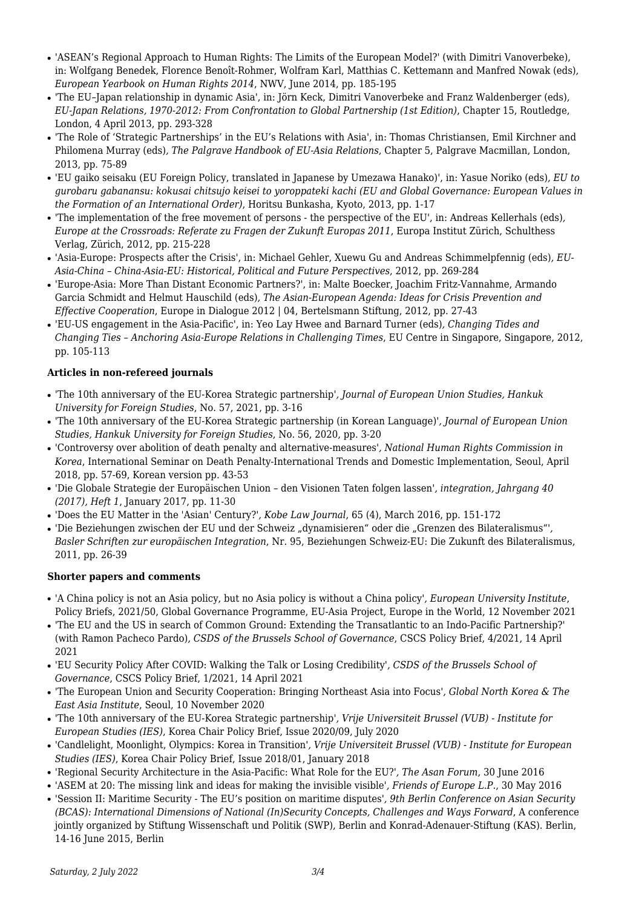- 'ASEAN's Regional Approach to Human Rights: The Limits of the European Model?' (with Dimitri Vanoverbeke), in: Wolfgang Benedek, Florence Benoît-Rohmer, Wolfram Karl, Matthias C. Kettemann and Manfred Nowak (eds)*, European Yearbook on Human Rights 2014*, NWV, June 2014, pp. 185-195
- 'The EU–Japan relationship in dynamic Asia', in: Jörn Keck, Dimitri Vanoverbeke and Franz Waldenberger (eds)*, EU-Japan Relations, 1970-2012: From Confrontation to Global Partnership (1st Edition)*, Chapter 15, Routledge, London, 4 April 2013, pp. 293-328
- 'The Role of 'Strategic Partnerships' in the EU's Relations with Asia', in: Thomas Christiansen, Emil Kirchner and Philomena Murray (eds)*, The Palgrave Handbook of EU-Asia Relations*, Chapter 5, Palgrave Macmillan, London, 2013, pp. 75-89
- 'EU gaiko seisaku (EU Foreign Policy, translated in Japanese by Umezawa Hanako)', in: Yasue Noriko (eds)*, EU to gurobaru gabanansu: kokusai chitsujo keisei to yoroppateki kachi (EU and Global Governance: European Values in the Formation of an International Order)*, Horitsu Bunkasha, Kyoto, 2013, pp. 1-17
- 'The implementation of the free movement of persons the perspective of the EU', in: Andreas Kellerhals (eds)*, Europe at the Crossroads: Referate zu Fragen der Zukunft Europas 2011*, Europa Institut Zürich, Schulthess Verlag, Zürich, 2012, pp. 215-228
- 'Asia-Europe: Prospects after the Crisis', in: Michael Gehler, Xuewu Gu and Andreas Schimmelpfennig (eds)*, EU-Asia-China – China-Asia-EU: Historical, Political and Future Perspectives*, 2012, pp. 269-284
- 'Europe-Asia: More Than Distant Economic Partners?', in: Malte Boecker, Joachim Fritz-Vannahme, Armando Garcia Schmidt and Helmut Hauschild (eds)*, The Asian-European Agenda: Ideas for Crisis Prevention and Effective Cooperation*, Europe in Dialogue 2012 | 04, Bertelsmann Stiftung, 2012, pp. 27-43
- 'EU-US engagement in the Asia-Pacific', in: Yeo Lay Hwee and Barnard Turner (eds)*, Changing Tides and Changing Ties – Anchoring Asia-Europe Relations in Challenging Times*, EU Centre in Singapore, Singapore, 2012, pp. 105-113

## **Articles in non-refereed journals**

- 'The 10th anniversary of the EU-Korea Strategic partnership'*, Journal of European Union Studies, Hankuk University for Foreign Studies*, No. 57, 2021, pp. 3-16
- 'The 10th anniversary of the EU-Korea Strategic partnership (in Korean Language)'*, Journal of European Union Studies, Hankuk University for Foreign Studies*, No. 56, 2020, pp. 3-20
- 'Controversy over abolition of death penalty and alternative-measures'*, National Human Rights Commission in Korea*, International Seminar on Death Penalty-International Trends and Domestic Implementation, Seoul, April 2018, pp. 57-69, Korean version pp. 43-53
- 'Die Globale Strategie der Europäischen Union den Visionen Taten folgen lassen'*, integration, Jahrgang 40 (2017), Heft 1*, January 2017, pp. 11-30
- 'Does the EU Matter in the 'Asian' Century?'*, Kobe Law Journal*, 65 (4), March 2016, pp. 151-172
- 'Die Beziehungen zwischen der EU und der Schweiz "dynamisieren" oder die "Grenzen des Bilateralismus"'*, Basler Schriften zur europäischen Integration*, Nr. 95, Beziehungen Schweiz-EU: Die Zukunft des Bilateralismus, 2011, pp. 26-39

### **Shorter papers and comments**

- 'A China policy is not an Asia policy, but no Asia policy is without a China policy'*, European University Institute*, Policy Briefs, 2021/50, Global Governance Programme, EU-Asia Project, Europe in the World, 12 November 2021
- 'The EU and the US in search of Common Ground: Extending the Transatlantic to an Indo-Pacific Partnership?' (with Ramon Pacheco Pardo)*, CSDS of the Brussels School of Governance*, CSCS Policy Brief, 4/2021, 14 April 2021
- 'EU Security Policy After COVID: Walking the Talk or Losing Credibility'*, CSDS of the Brussels School of Governance*, CSCS Policy Brief, 1/2021, 14 April 2021
- 'The European Union and Security Cooperation: Bringing Northeast Asia into Focus'*, Global North Korea & The East Asia Institute*, Seoul, 10 November 2020
- 'The 10th anniversary of the EU-Korea Strategic partnership'*, Vrije Universiteit Brussel (VUB) Institute for European Studies (IES)*, Korea Chair Policy Brief, Issue 2020/09, July 2020
- 'Candlelight, Moonlight, Olympics: Korea in Transition'*, Vrije Universiteit Brussel (VUB) Institute for European Studies (IES)*, Korea Chair Policy Brief, Issue 2018/01, January 2018
- 'Regional Security Architecture in the Asia-Pacific: What Role for the EU?'*, The Asan Forum*, 30 June 2016
- 'ASEM at 20: The missing link and ideas for making the invisible visible'*, Friends of Europe L.P.*, 30 May 2016
- 'Session II: Maritime Security The EU's position on maritime disputes'*, 9th Berlin Conference on Asian Security (BCAS): International Dimensions of National (In)Security Concepts, Challenges and Ways Forward*, A conference jointly organized by Stiftung Wissenschaft und Politik (SWP), Berlin and Konrad-Adenauer-Stiftung (KAS). Berlin, 14-16 June 2015, Berlin